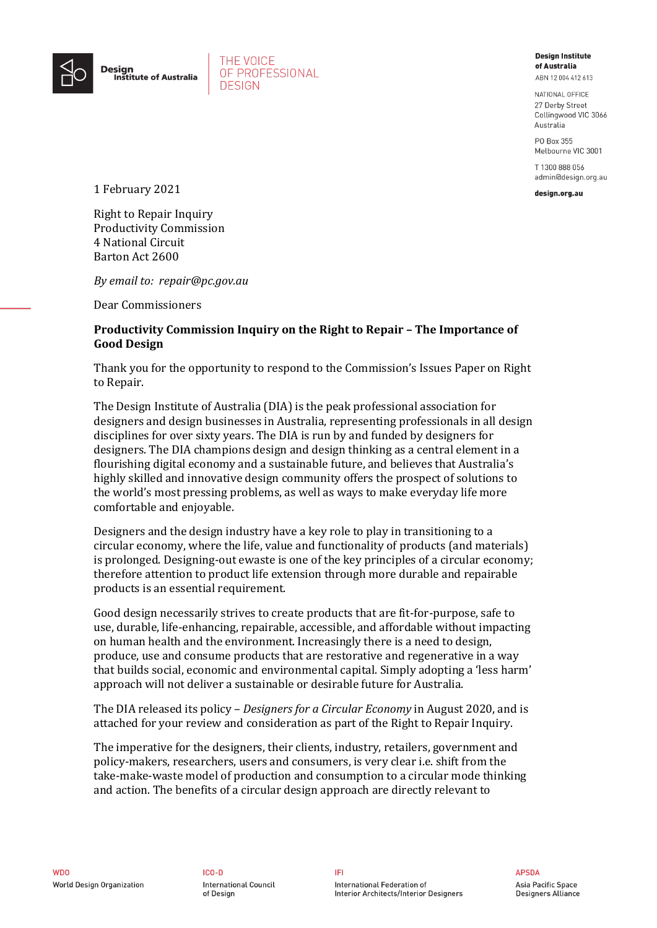

THE VOICE OF PROFESSIONAL **DESIGN** 

## **Design Institute** of Australia ABN 12004 412 613

NATIONAL OFFICE 27 Derby Street Collingwood VIC 3066 Australia

PO Box 355 Melbourne VIC 3001

T 1300 888 056 admin@design.org.au

design.org.au

1 February 2021

Right to Repair Inquiry Productivity Commission 4 National Circuit Barton Act 2600

*By email to: repair@pc.gov.au*

Dear Commissioners

## **Productivity Commission Inquiry on the Right to Repair – The Importance of Good Design**

Thank you for the opportunity to respond to the Commission's Issues Paper on Right to Repair.

The Design Institute of Australia (DIA) is the peak professional association for designers and design businesses in Australia, representing professionals in all design disciplines for over sixty years. The DIA is run by and funded by designers for designers. The DIA champions design and design thinking as a central element in a flourishing digital economy and a sustainable future, and believes that Australia's highly skilled and innovative design community offers the prospect of solutions to the world's most pressing problems, as well as ways to make everyday life more comfortable and enjoyable.

Designers and the design industry have a key role to play in transitioning to a circular economy, where the life, value and functionality of products (and materials) is prolonged. Designing-out ewaste is one of the key principles of a circular economy; therefore attention to product life extension through more durable and repairable products is an essential requirement.

Good design necessarily strives to create products that are fit-for-purpose, safe to use, durable, life-enhancing, repairable, accessible, and affordable without impacting on human health and the environment. Increasingly there is a need to design, produce, use and consume products that are restorative and regenerative in a way that builds social, economic and environmental capital. Simply adopting a 'less harm' approach will not deliver a sustainable or desirable future for Australia.

The DIA released its policy – *Designers for a Circular Economy* in August 2020, and is attached for your review and consideration as part of the Right to Repair Inquiry.

The imperative for the designers, their clients, industry, retailers, government and policy-makers, researchers, users and consumers, is very clear i.e. shift from the take-make-waste model of production and consumption to a circular mode thinking and action. The benefits of a circular design approach are directly relevant to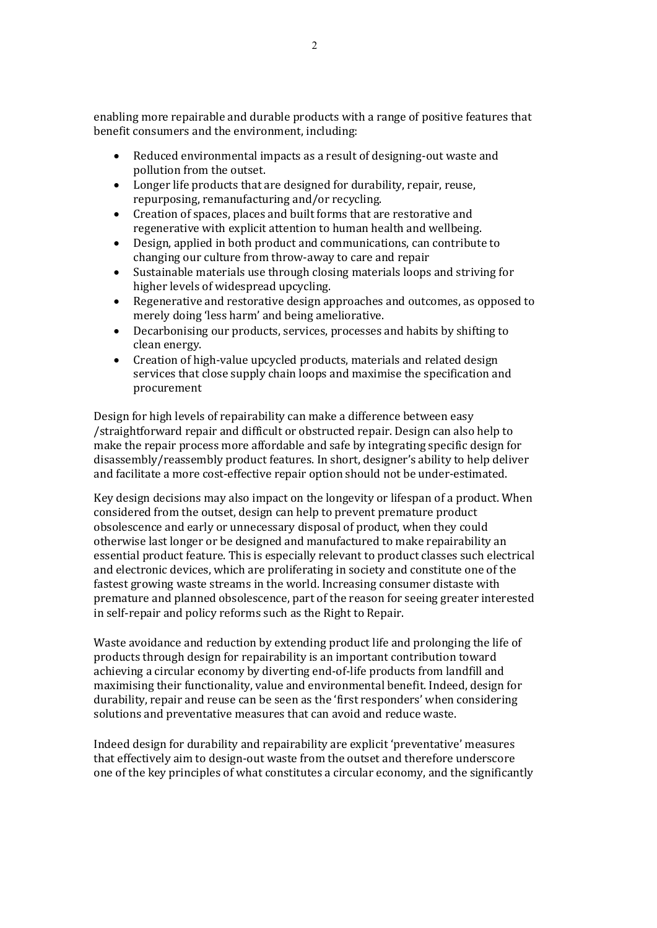enabling more repairable and durable products with a range of positive features that benefit consumers and the environment, including:

- Reduced environmental impacts as a result of designing-out waste and pollution from the outset.
- Longer life products that are designed for durability, repair, reuse, repurposing, remanufacturing and/or recycling.
- Creation of spaces, places and built forms that are restorative and regenerative with explicit attention to human health and wellbeing.
- Design, applied in both product and communications, can contribute to changing our culture from throw-away to care and repair
- Sustainable materials use through closing materials loops and striving for higher levels of widespread upcycling.
- Regenerative and restorative design approaches and outcomes, as opposed to merely doing 'less harm' and being ameliorative.
- Decarbonising our products, services, processes and habits by shifting to clean energy.
- Creation of high-value upcycled products, materials and related design services that close supply chain loops and maximise the specification and procurement

Design for high levels of repairability can make a difference between easy /straightforward repair and difficult or obstructed repair. Design can also help to make the repair process more affordable and safe by integrating specific design for disassembly/reassembly product features. In short, designer's ability to help deliver and facilitate a more cost-effective repair option should not be under-estimated.

Key design decisions may also impact on the longevity or lifespan of a product. When considered from the outset, design can help to prevent premature product obsolescence and early or unnecessary disposal of product, when they could otherwise last longer or be designed and manufactured to make repairability an essential product feature. This is especially relevant to product classes such electrical and electronic devices, which are proliferating in society and constitute one of the fastest growing waste streams in the world. Increasing consumer distaste with premature and planned obsolescence, part of the reason for seeing greater interested in self-repair and policy reforms such as the Right to Repair.

Waste avoidance and reduction by extending product life and prolonging the life of products through design for repairability is an important contribution toward achieving a circular economy by diverting end-of-life products from landfill and maximising their functionality, value and environmental benefit. Indeed, design for durability, repair and reuse can be seen as the 'first responders' when considering solutions and preventative measures that can avoid and reduce waste.

Indeed design for durability and repairability are explicit 'preventative' measures that effectively aim to design-out waste from the outset and therefore underscore one of the key principles of what constitutes a circular economy, and the significantly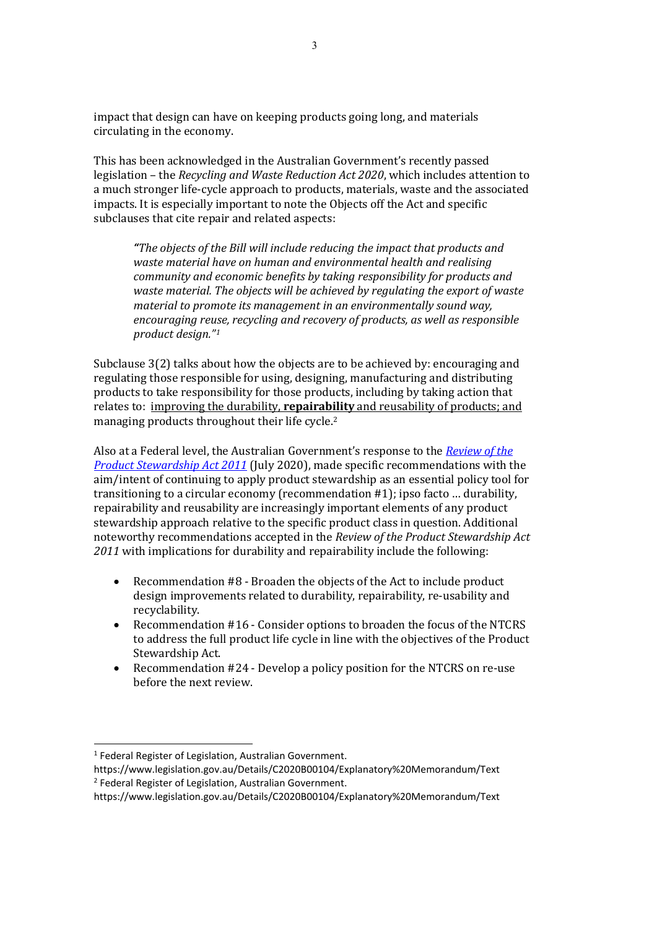impact that design can have on keeping products going long, and materials circulating in the economy.

This has been acknowledged in the Australian Government's recently passed legislation – the *Recycling and Waste Reduction Act 2020*, which includes attention to a much stronger life-cycle approach to products, materials, waste and the associated impacts. It is especially important to note the Objects off the Act and specific subclauses that cite repair and related aspects:

*"The objects of the Bill will include reducing the impact that products and waste material have on human and environmental health and realising community and economic benefits by taking responsibility for products and waste material. The objects will be achieved by regulating the export of waste material to promote its management in an environmentally sound way, encouraging reuse, recycling and recovery of products, as well as responsible product design."[1](#page-2-0)*

Subclause 3(2) talks about how the objects are to be achieved by: encouraging and regulating those responsible for using, designing, manufacturing and distributing products to take responsibility for those products, including by taking action that relates to: improving the durability, **repairability** and reusability of products; and managing products throughout their life cycle.<sup>[2](#page-2-1)</sup>

Also at a Federal level, the Australian Government's response to the *[Review of the](https://www.environment.gov.au/protection/waste/product-stewardship/consultation-review-ps-act-incl-ntcrs)  [Product Stewardship Act 2011](https://www.environment.gov.au/protection/waste/product-stewardship/consultation-review-ps-act-incl-ntcrs)* (July 2020), made specific recommendations with the aim/intent of continuing to apply product stewardship as an essential policy tool for transitioning to a circular economy (recommendation #1); ipso facto … durability, repairability and reusability are increasingly important elements of any product stewardship approach relative to the specific product class in question. Additional noteworthy recommendations accepted in the *Review of the Product Stewardship Act 2011* with implications for durability and repairability include the following:

- Recommendation #8 Broaden the objects of the Act to include product design improvements related to durability, repairability, re-usability and recyclability.
- Recommendation #16 Consider options to broaden the focus of the NTCRS to address the full product life cycle in line with the objectives of the Product Stewardship Act.
- Recommendation #24 Develop a policy position for the NTCRS on re-use before the next review.

<span id="page-2-0"></span><sup>&</sup>lt;sup>1</sup> Federal Register of Legislation, Australian Government.

https://www.legislation.gov.au/Details/C2020B00104/Explanatory%20Memorandum/Text <sup>2</sup> Federal Register of Legislation, Australian Government.

<span id="page-2-1"></span>https://www.legislation.gov.au/Details/C2020B00104/Explanatory%20Memorandum/Text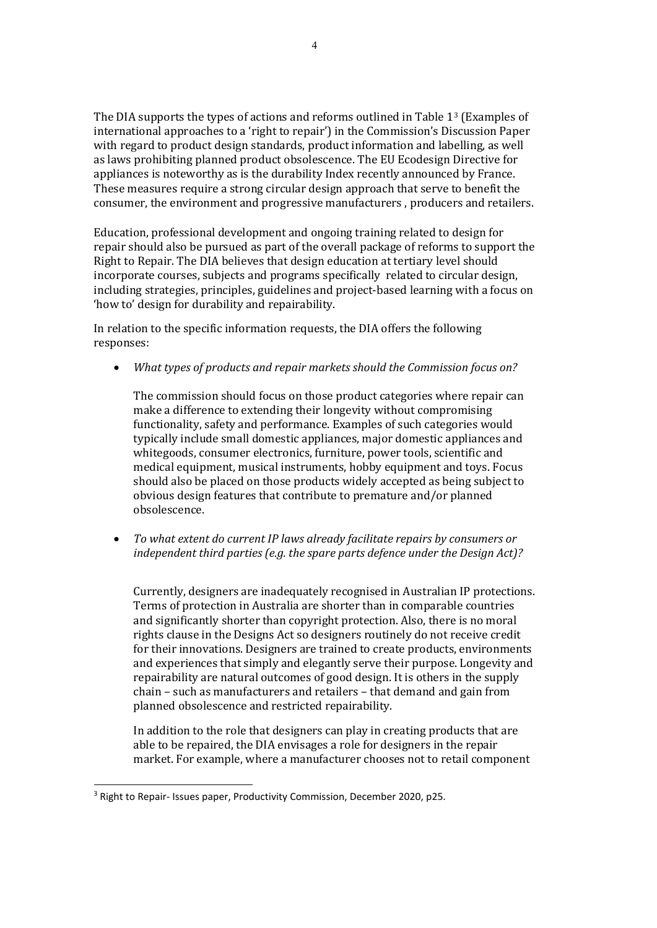The DIA supports the types of actions and reforms outlined in Table 1[3](#page-3-0) (Examples of international approaches to a 'right to repair') in the Commission's Discussion Paper with regard to product design standards, product information and labelling, as well as laws prohibiting planned product obsolescence. The EU Ecodesign Directive for appliances is noteworthy as is the durability Index recently announced by France. These measures require a strong circular design approach that serve to benefit the consumer, the environment and progressive manufacturers , producers and retailers.

Education, professional development and ongoing training related to design for repair should also be pursued as part of the overall package of reforms to support the Right to Repair. The DIA believes that design education at tertiary level should incorporate courses, subjects and programs specifically related to circular design, including strategies, principles, guidelines and project-based learning with a focus on 'how to' design for durability and repairability.

In relation to the specific information requests, the DIA offers the following responses:

• *What types of products and repair markets should the Commission focus on?*

The commission should focus on those product categories where repair can make a difference to extending their longevity without compromising functionality, safety and performance. Examples of such categories would typically include small domestic appliances, major domestic appliances and whitegoods, consumer electronics, furniture, power tools, scientific and medical equipment, musical instruments, hobby equipment and toys. Focus should also be placed on those products widely accepted as being subject to obvious design features that contribute to premature and/or planned obsolescence.

• *To what extent do current IP laws already facilitate repairs by consumers or independent third parties (e.g. the spare parts defence under the Design Act)?*

Currently, designers are inadequately recognised in Australian IP protections. Terms of protection in Australia are shorter than in comparable countries and significantly shorter than copyright protection. Also, there is no moral rights clause in the Designs Act so designers routinely do not receive credit for their innovations. Designers are trained to create products, environments and experiences that simply and elegantly serve their purpose. Longevity and repairability are natural outcomes of good design. It is others in the supply chain – such as manufacturers and retailers – that demand and gain from planned obsolescence and restricted repairability.

In addition to the role that designers can play in creating products that are able to be repaired, the DIA envisages a role for designers in the repair market. For example, where a manufacturer chooses not to retail component

<span id="page-3-0"></span><sup>&</sup>lt;sup>3</sup> Right to Repair- Issues paper, Productivity Commission, December 2020, p25.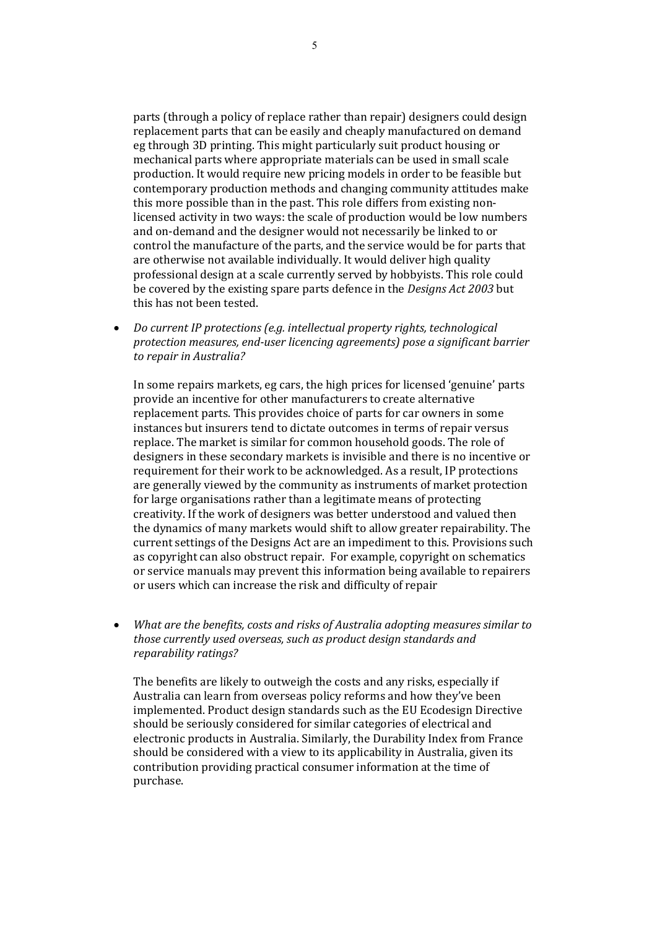parts (through a policy of replace rather than repair) designers could design replacement parts that can be easily and cheaply manufactured on demand eg through 3D printing. This might particularly suit product housing or mechanical parts where appropriate materials can be used in small scale production. It would require new pricing models in order to be feasible but contemporary production methods and changing community attitudes make this more possible than in the past. This role differs from existing nonlicensed activity in two ways: the scale of production would be low numbers and on-demand and the designer would not necessarily be linked to or control the manufacture of the parts, and the service would be for parts that are otherwise not available individually. It would deliver high quality professional design at a scale currently served by hobbyists. This role could be covered by the existing spare parts defence in the *Designs Act 2003* but this has not been tested.

• *Do current IP protections (e.g. intellectual property rights, technological protection measures, end-user licencing agreements) pose a significant barrier to repair in Australia?* 

In some repairs markets, eg cars, the high prices for licensed 'genuine' parts provide an incentive for other manufacturers to create alternative replacement parts. This provides choice of parts for car owners in some instances but insurers tend to dictate outcomes in terms of repair versus replace. The market is similar for common household goods. The role of designers in these secondary markets is invisible and there is no incentive or requirement for their work to be acknowledged. As a result, IP protections are generally viewed by the community as instruments of market protection for large organisations rather than a legitimate means of protecting creativity. If the work of designers was better understood and valued then the dynamics of many markets would shift to allow greater repairability. The current settings of the Designs Act are an impediment to this. Provisions such as copyright can also obstruct repair. For example, copyright on schematics or service manuals may prevent this information being available to repairers or users which can increase the risk and difficulty of repair

• *What are the benefits, costs and risks of Australia adopting measures similar to those currently used overseas, such as product design standards and reparability ratings?*

The benefits are likely to outweigh the costs and any risks, especially if Australia can learn from overseas policy reforms and how they've been implemented. Product design standards such as the EU Ecodesign Directive should be seriously considered for similar categories of electrical and electronic products in Australia. Similarly, the Durability Index from France should be considered with a view to its applicability in Australia, given its contribution providing practical consumer information at the time of purchase.